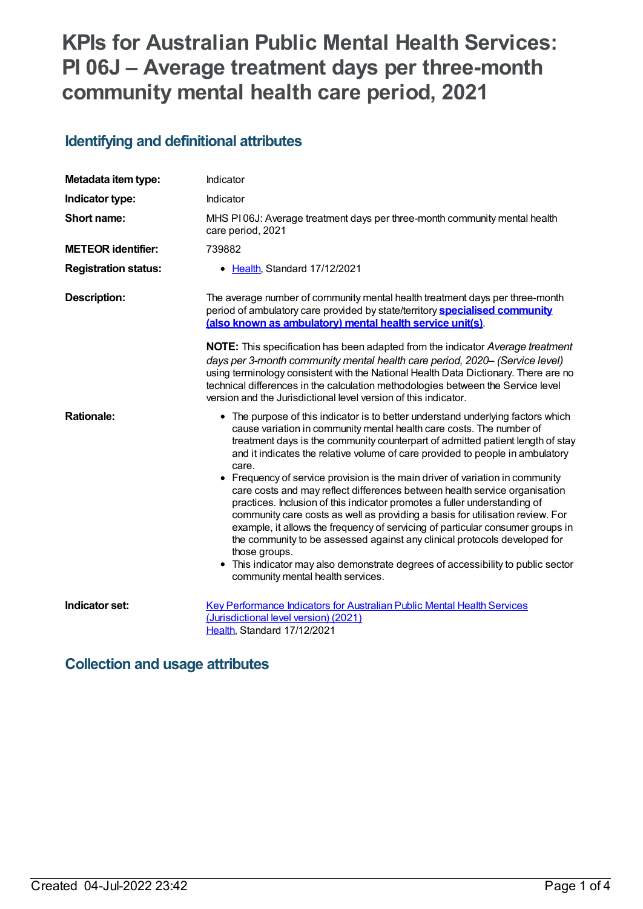# **KPIs for Australian Public Mental Health Services: PI 06J – Average treatment days per three-month community mental health care period, 2021**

## **Identifying and definitional attributes**

| Metadata item type:         | Indicator                                                                                                                                                                                                                                                                                                                                                                                                                                                                                                                                                                                                                                                                                                                                                                                                                                                                                                                                                               |
|-----------------------------|-------------------------------------------------------------------------------------------------------------------------------------------------------------------------------------------------------------------------------------------------------------------------------------------------------------------------------------------------------------------------------------------------------------------------------------------------------------------------------------------------------------------------------------------------------------------------------------------------------------------------------------------------------------------------------------------------------------------------------------------------------------------------------------------------------------------------------------------------------------------------------------------------------------------------------------------------------------------------|
| Indicator type:             | Indicator                                                                                                                                                                                                                                                                                                                                                                                                                                                                                                                                                                                                                                                                                                                                                                                                                                                                                                                                                               |
| Short name:                 | MHS PI06J: Average treatment days per three-month community mental health<br>care period, 2021                                                                                                                                                                                                                                                                                                                                                                                                                                                                                                                                                                                                                                                                                                                                                                                                                                                                          |
| <b>METEOR identifier:</b>   | 739882                                                                                                                                                                                                                                                                                                                                                                                                                                                                                                                                                                                                                                                                                                                                                                                                                                                                                                                                                                  |
| <b>Registration status:</b> | • Health, Standard 17/12/2021                                                                                                                                                                                                                                                                                                                                                                                                                                                                                                                                                                                                                                                                                                                                                                                                                                                                                                                                           |
| <b>Description:</b>         | The average number of community mental health treatment days per three-month<br>period of ambulatory care provided by state/territory <b>specialised community</b><br>(also known as ambulatory) mental health service unit(s).                                                                                                                                                                                                                                                                                                                                                                                                                                                                                                                                                                                                                                                                                                                                         |
|                             | NOTE: This specification has been adapted from the indicator Average treatment<br>days per 3-month community mental health care period, 2020- (Service level)<br>using terminology consistent with the National Health Data Dictionary. There are no<br>technical differences in the calculation methodologies between the Service level<br>version and the Jurisdictional level version of this indicator.                                                                                                                                                                                                                                                                                                                                                                                                                                                                                                                                                             |
| <b>Rationale:</b>           | • The purpose of this indicator is to better understand underlying factors which<br>cause variation in community mental health care costs. The number of<br>treatment days is the community counterpart of admitted patient length of stay<br>and it indicates the relative volume of care provided to people in ambulatory<br>care.<br>• Frequency of service provision is the main driver of variation in community<br>care costs and may reflect differences between health service organisation<br>practices. Inclusion of this indicator promotes a fuller understanding of<br>community care costs as well as providing a basis for utilisation review. For<br>example, it allows the frequency of servicing of particular consumer groups in<br>the community to be assessed against any clinical protocols developed for<br>those groups.<br>This indicator may also demonstrate degrees of accessibility to public sector<br>community mental health services. |
| Indicator set:              | <b>Key Performance Indicators for Australian Public Mental Health Services</b><br>(Jurisdictional level version) (2021)<br>Health, Standard 17/12/2021                                                                                                                                                                                                                                                                                                                                                                                                                                                                                                                                                                                                                                                                                                                                                                                                                  |

## **Collection and usage attributes**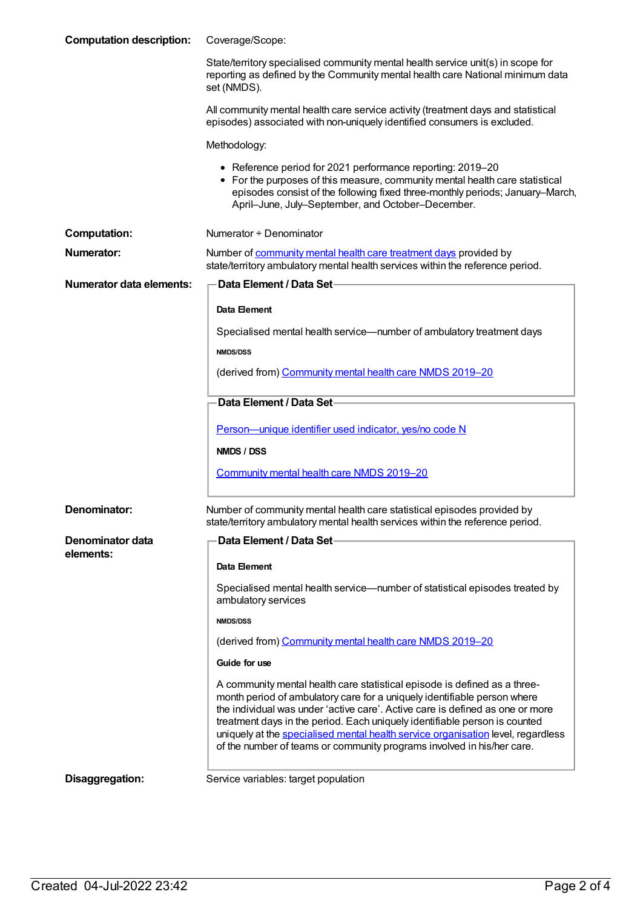| <b>Computation description:</b> | Coverage/Scope:                                                                                                                                                                                                                                                                                                                                                                                                                                                                    |
|---------------------------------|------------------------------------------------------------------------------------------------------------------------------------------------------------------------------------------------------------------------------------------------------------------------------------------------------------------------------------------------------------------------------------------------------------------------------------------------------------------------------------|
|                                 | State/territory specialised community mental health service unit(s) in scope for<br>reporting as defined by the Community mental health care National minimum data<br>set (NMDS).                                                                                                                                                                                                                                                                                                  |
|                                 | All community mental health care service activity (treatment days and statistical<br>episodes) associated with non-uniquely identified consumers is excluded.                                                                                                                                                                                                                                                                                                                      |
|                                 | Methodology:                                                                                                                                                                                                                                                                                                                                                                                                                                                                       |
|                                 | • Reference period for 2021 performance reporting: 2019-20<br>• For the purposes of this measure, community mental health care statistical<br>episodes consist of the following fixed three-monthly periods; January-March,<br>April-June, July-September, and October-December.                                                                                                                                                                                                   |
| <b>Computation:</b>             | Numerator + Denominator                                                                                                                                                                                                                                                                                                                                                                                                                                                            |
| <b>Numerator:</b>               | Number of community mental health care treatment days provided by<br>state/territory ambulatory mental health services within the reference period.                                                                                                                                                                                                                                                                                                                                |
| <b>Numerator data elements:</b> | Data Element / Data Set-                                                                                                                                                                                                                                                                                                                                                                                                                                                           |
|                                 | Data Element                                                                                                                                                                                                                                                                                                                                                                                                                                                                       |
|                                 | Specialised mental health service-number of ambulatory treatment days                                                                                                                                                                                                                                                                                                                                                                                                              |
|                                 | <b>NMDS/DSS</b>                                                                                                                                                                                                                                                                                                                                                                                                                                                                    |
|                                 | (derived from) Community mental health care NMDS 2019-20                                                                                                                                                                                                                                                                                                                                                                                                                           |
|                                 | Data Element / Data Set-                                                                                                                                                                                                                                                                                                                                                                                                                                                           |
|                                 | Person-unique identifier used indicator, yes/no code N                                                                                                                                                                                                                                                                                                                                                                                                                             |
|                                 | NMDS / DSS                                                                                                                                                                                                                                                                                                                                                                                                                                                                         |
|                                 | Community mental health care NMDS 2019-20                                                                                                                                                                                                                                                                                                                                                                                                                                          |
|                                 |                                                                                                                                                                                                                                                                                                                                                                                                                                                                                    |
| Denominator:                    | Number of community mental health care statistical episodes provided by<br>state/territory ambulatory mental health services within the reference period.                                                                                                                                                                                                                                                                                                                          |
| Denominator data                | Data Element / Data Set-                                                                                                                                                                                                                                                                                                                                                                                                                                                           |
| elements:                       | <b>Data Element</b>                                                                                                                                                                                                                                                                                                                                                                                                                                                                |
|                                 | Specialised mental health service—number of statistical episodes treated by<br>ambulatory services                                                                                                                                                                                                                                                                                                                                                                                 |
|                                 | <b>NMDS/DSS</b>                                                                                                                                                                                                                                                                                                                                                                                                                                                                    |
|                                 | (derived from) Community mental health care NMDS 2019-20                                                                                                                                                                                                                                                                                                                                                                                                                           |
|                                 | Guide for use                                                                                                                                                                                                                                                                                                                                                                                                                                                                      |
|                                 | A community mental health care statistical episode is defined as a three-<br>month period of ambulatory care for a uniquely identifiable person where<br>the individual was under 'active care'. Active care is defined as one or more<br>treatment days in the period. Each uniquely identifiable person is counted<br>uniquely at the specialised mental health service organisation level, regardless<br>of the number of teams or community programs involved in his/her care. |
| Disaggregation:                 | Service variables: target population                                                                                                                                                                                                                                                                                                                                                                                                                                               |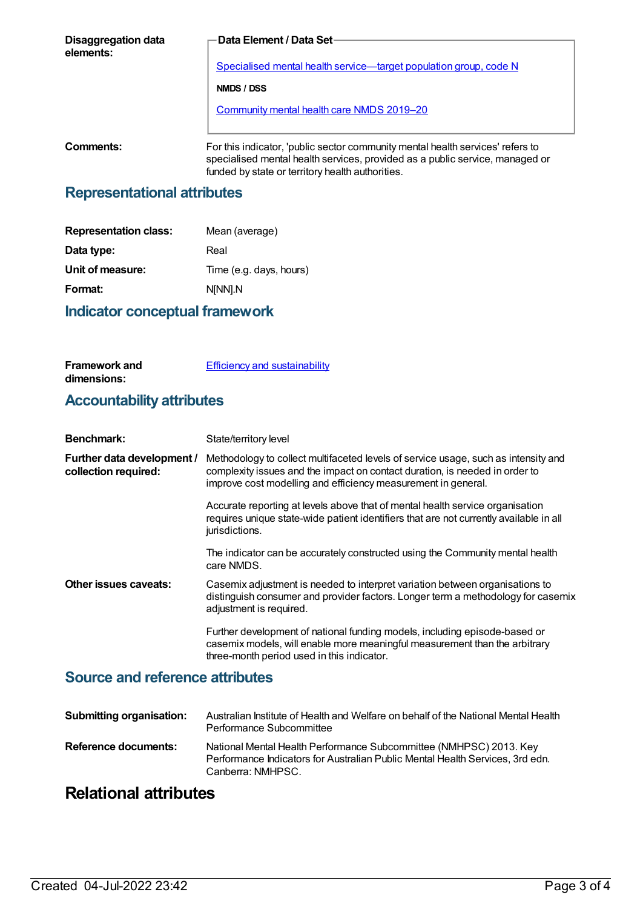| Disaggregation data<br>elements: | <b>Data Element / Data Set-</b>                                                                                                                                                                                    |
|----------------------------------|--------------------------------------------------------------------------------------------------------------------------------------------------------------------------------------------------------------------|
|                                  | Specialised mental health service—target population group, code N                                                                                                                                                  |
|                                  | NMDS / DSS                                                                                                                                                                                                         |
|                                  | <b>Community mental health care NMDS 2019-20</b>                                                                                                                                                                   |
|                                  |                                                                                                                                                                                                                    |
| Comments:                        | For this indicator, 'public sector community mental health services' refers to<br>specialised mental health services, provided as a public service, managed or<br>funded by state or territory health authorities. |

#### **Representational attributes**

| <b>Representation class:</b> | Mean (average)          |
|------------------------------|-------------------------|
| Data type:                   | Real                    |
| Unit of measure:             | Time (e.g. days, hours) |
| Format:                      | N[NN].N                 |
|                              |                         |

#### **Indicator conceptual framework**

| <b>Framework and</b> | <b>Efficiency and sustainability</b> |
|----------------------|--------------------------------------|
| dimensions:          |                                      |

# **Accountability attributes**

| <b>Benchmark:</b>                                  | State/territory level                                                                                                                                                                                                              |
|----------------------------------------------------|------------------------------------------------------------------------------------------------------------------------------------------------------------------------------------------------------------------------------------|
| Further data development /<br>collection required: | Methodology to collect multifaceted levels of service usage, such as intensity and<br>complexity issues and the impact on contact duration, is needed in order to<br>improve cost modelling and efficiency measurement in general. |
|                                                    | Accurate reporting at levels above that of mental health service organisation<br>requires unique state-wide patient identifiers that are not currently available in all<br>jurisdictions.                                          |
|                                                    | The indicator can be accurately constructed using the Community mental health<br>care NMDS.                                                                                                                                        |
| Other issues caveats:                              | Casemix adjustment is needed to interpret variation between organisations to<br>distinguish consumer and provider factors. Longer term a methodology for casemix<br>adjustment is required.                                        |
|                                                    | Further development of national funding models, including episode-based or<br>casemix models, will enable more meaningful measurement than the arbitrary<br>three-month period used in this indicator.                             |

#### **Source and reference attributes**

| <b>Submitting organisation:</b> | Australian Institute of Health and Welfare on behalf of the National Mental Health<br>Performance Subcommittee                                                           |
|---------------------------------|--------------------------------------------------------------------------------------------------------------------------------------------------------------------------|
| Reference documents:            | National Mental Health Performance Subcommittee (NMHPSC) 2013. Key<br>Performance Indicators for Australian Public Mental Health Services, 3rd edn.<br>Canberra: NMHPSC. |

# **Relational attributes**